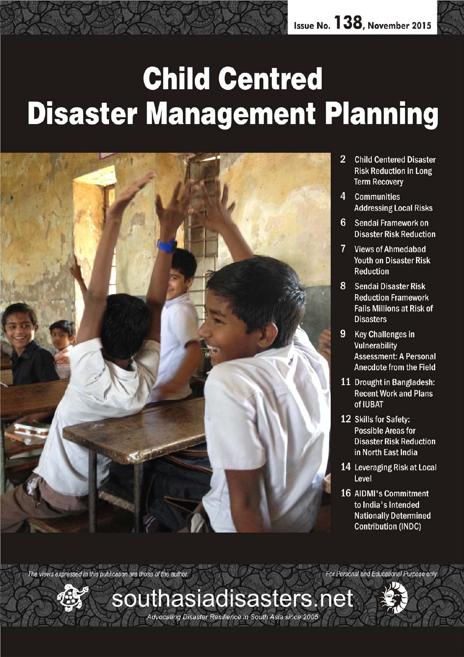# **Child Centred Disaster Management Planning**



- $\overline{2}$ **Child Centered Disaster Risk Reduction in Long Term Recovery**
- 4 Communities **Addressing Local Risks**
- 6 Sendai Framework on **Disaster Risk Reduction**
- 7 Views of Ahmedabad **Youth on Disaster Risk Reduction**
- 8 Sendai Disaster Risk **Reduction Framework Fails Millions at Risk of Disasters**
- 9 Key Challenges in **Vulnerability Assessment: A Personal Anecdote from the Field**
- 11 Drought in Bangladesh: **Recent Work and Plans** of IUBAT
- 12 Skills for Safety: **Possible Areas for Disaster Risk Reduction** in North East India
- 14 Leveraging Risk at Local Level
- **16 AIDMI's Commitment** to India's Intended **Nationally Determined Contribution (INDC)**

The views expressed in this publication are those of the author. For Personal and Educational Purpose only

southasiadisasters.net

Advocating Disaster Resilience in South Asia since 2005

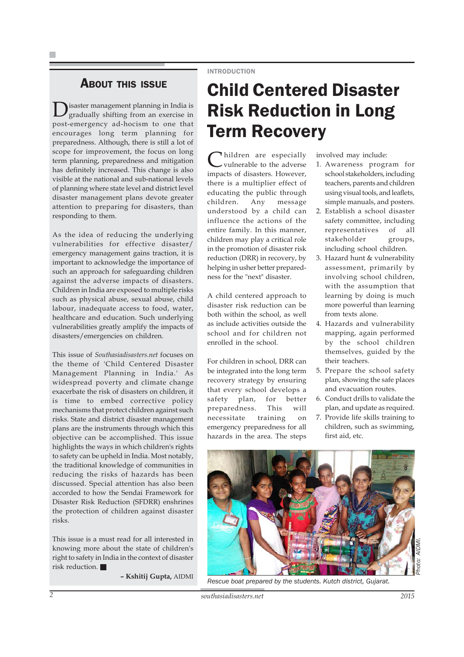#### INTRODUCTION

### ABOUT THIS ISSUE

Disaster management planning in India is gradually shifting from an exercise in post-emergency ad-hocism to one that encourages long term planning for preparedness. Although, there is still a lot of scope for improvement, the focus on long term planning, preparedness and mitigation has definitely increased. This change is also visible at the national and sub-national levels of planning where state level and district level disaster management plans devote greater attention to preparing for disasters, than responding to them.

As the idea of reducing the underlying vulnerabilities for effective disaster/ emergency management gains traction, it is important to acknowledge the importance of such an approach for safeguarding children against the adverse impacts of disasters. Children in India are exposed to multiple risks such as physical abuse, sexual abuse, child labour, inadequate access to food, water, healthcare and education. Such underlying vulnerabilities greatly amplify the impacts of disasters/emergencies on children.

This issue of *Southasiadisasters.net* focuses on the theme of 'Child Centered Disaster Management Planning in India.' As widespread poverty and climate change exacerbate the risk of disasters on children, it is time to embed corrective policy mechanisms that protect children against such risks. State and district disaster management plans are the instruments through which this objective can be accomplished. This issue highlights the ways in which children's rights to safety can be upheld in India. Most notably, the traditional knowledge of communities in reducing the risks of hazards has been discussed. Special attention has also been accorded to how the Sendai Framework for Disaster Risk Reduction (SFDRR) enshrines the protection of children against disaster risks.

This issue is a must read for all interested in knowing more about the state of children's right to safety in India in the context of disaster risk reduction.

**– Kshitij Gupta,** AIDMI

## Child Centered Disaster Risk Reduction in Long Term Recovery

hildren are especially vulnerable to the adverse impacts of disasters. However, there is a multiplier effect of educating the public through children. Any message understood by a child can influence the actions of the entire family. In this manner, children may play a critical role in the promotion of disaster risk reduction (DRR) in recovery, by helping in usher better preparedness for the "next" disaster.

A child centered approach to disaster risk reduction can be both within the school, as well as include activities outside the school and for children not enrolled in the school.

For children in school, DRR can be integrated into the long term recovery strategy by ensuring that every school develops a safety plan, for better preparedness. This will necessitate training on emergency preparedness for all hazards in the area. The steps

involved may include:

- 1. Awareness program for school stakeholders, including teachers, parents and children using visual tools, and leaflets, simple manuals, and posters.
- 2. Establish a school disaster safety committee, including representatives of all stakeholder groups, including school children.
- 3. Hazard hunt & vulnerability assessment, primarily by involving school children, with the assumption that learning by doing is much more powerful than learning from texts alone.
- 4. Hazards and vulnerability mapping, again performed by the school children themselves, guided by the their teachers.
- 5. Prepare the school safety plan, showing the safe places and evacuation routes.
- 6. Conduct drills to validate the plan, and update as required.
- 7. Provide life skills training to children, such as swimming, first aid, etc.



*Rescue boat prepared by the students. Kutch district, Gujarat.*

2 *southasiadisasters.net now 2015*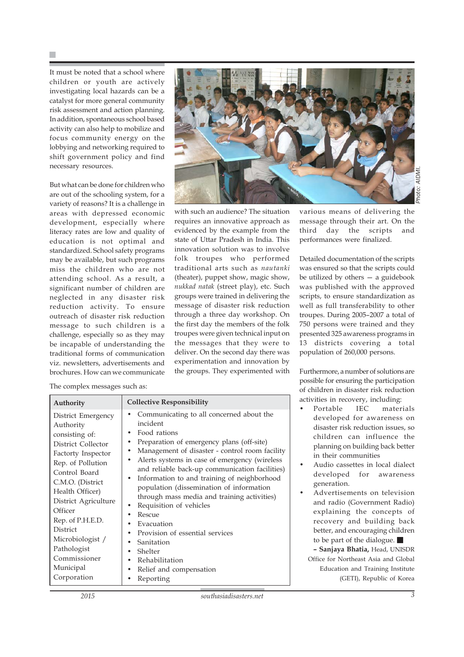It must be noted that a school where children or youth are actively investigating local hazards can be a catalyst for more general community risk assessment and action planning. In addition, spontaneous school based activity can also help to mobilize and focus community energy on the lobbying and networking required to shift government policy and find necessary resources.

But what can be done for children who are out of the schooling system, for a variety of reasons? It is a challenge in areas with depressed economic development, especially where literacy rates are low and quality of education is not optimal and standardized. School safety programs may be available, but such programs miss the children who are not attending school. As a result, a significant number of children are neglected in any disaster risk reduction activity. To ensure outreach of disaster risk reduction message to such children is a challenge, especially so as they may be incapable of understanding the traditional forms of communication viz. newsletters, advertisements and brochures. How can we communicate



with such an audience? The situation requires an innovative approach as evidenced by the example from the state of Uttar Pradesh in India. This innovation solution was to involve folk troupes who performed traditional arts such as *nautanki* (theater), puppet show, magic show, *nukkad natak* (street play), etc. Such groups were trained in delivering the message of disaster risk reduction through a three day workshop. On the first day the members of the folk troupes were given technical input on the messages that they were to deliver. On the second day there was experimentation and innovation by the groups. They experimented with various means of delivering the message through their art. On the third day the scripts and performances were finalized.

Detailed documentation of the scripts was ensured so that the scripts could be utilized by others — a guidebook was published with the approved scripts, to ensure standardization as well as full transferability to other troupes. During 2005–2007 a total of 750 persons were trained and they presented 325 awareness programs in 13 districts covering a total population of 260,000 persons.

Furthermore, a number of solutions are possible for ensuring the participation of children in disaster risk reduction ctivities in recovery, including:

- Portable IEC materials developed for awareness on disaster risk reduction issues, so children can influence the planning on building back better in their communities
- Audio cassettes in local dialect developed for awareness generation.
- Advertisements on television and radio (Government Radio) explaining the concepts of recovery and building back better, and encouraging children to be part of the dialogue.  $\blacksquare$

**– Sanjaya Bhatia,** Head, UNISDR Office for Northeast Asia and Global Education and Training Institute (GETI), Republic of Korea

|  |  | The complex messages such as: |
|--|--|-------------------------------|
|--|--|-------------------------------|

| Authority                                                                                                                                                                                                                                                                                                                    | <b>Collective Responsibility</b>                                                                                                                                                                                                                                                                                                                                                                                                                                                                                                                                                          |
|------------------------------------------------------------------------------------------------------------------------------------------------------------------------------------------------------------------------------------------------------------------------------------------------------------------------------|-------------------------------------------------------------------------------------------------------------------------------------------------------------------------------------------------------------------------------------------------------------------------------------------------------------------------------------------------------------------------------------------------------------------------------------------------------------------------------------------------------------------------------------------------------------------------------------------|
| District Emergency<br>Authority<br>consisting of:<br>District Collector<br>Factorty Inspector<br>Rep. of Pollution<br>Control Board<br>C.M.O. (District<br>Health Officer)<br>District Agriculture<br>Officer<br>Rep. of P.H.E.D.<br>District<br>Microbiologist /<br>Pathologist<br>Commissioner<br>Municipal<br>Corporation | Communicating to all concerned about the<br>incident<br>Food rations<br>Preparation of emergency plans (off-site)<br>Management of disaster - control room facility<br>Alerts systems in case of emergency (wireless<br>and reliable back-up communication facilities)<br>Information to and training of neighborhood<br>population (dissemination of information<br>through mass media and training activities)<br>Requisition of vehicles<br>Rescue<br>Evacuation<br>Provision of essential services<br>Sanitation<br>Shelter<br>Rehabilitation<br>Relief and compensation<br>Reporting |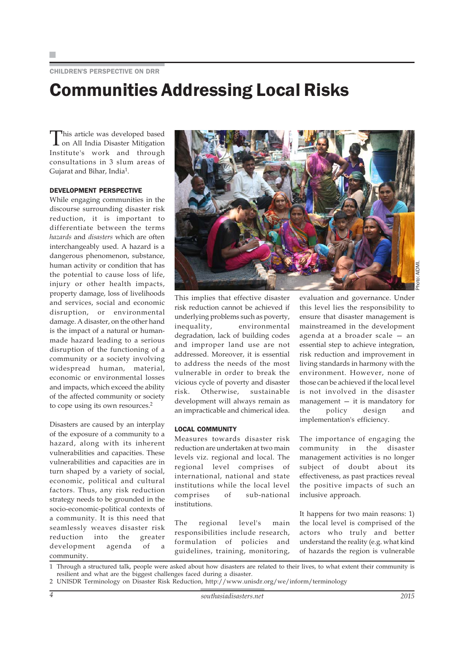#### CHILDREN'S PERSPECTIVE ON DRR

### Communities Addressing Local Risks

This article was developed based on All India Disaster Mitigation Institute's work and through consultations in 3 slum areas of Gujarat and Bihar, India<sup>1</sup>.

#### DEVELOPMENT PERSPECTIVE

While engaging communities in the discourse surrounding disaster risk reduction, it is important to differentiate between the terms *hazards* and *disasters* which are often interchangeably used. A hazard is a dangerous phenomenon, substance, human activity or condition that has the potential to cause loss of life, injury or other health impacts, property damage, loss of livelihoods and services, social and economic disruption, or environmental damage. A disaster, on the other hand is the impact of a natural or humanmade hazard leading to a serious disruption of the functioning of a community or a society involving widespread human, material, economic or environmental losses and impacts, which exceed the ability of the affected community or society to cope using its own resources.<sup>2</sup>

Disasters are caused by an interplay of the exposure of a community to a hazard, along with its inherent vulnerabilities and capacities. These vulnerabilities and capacities are in turn shaped by a variety of social, economic, political and cultural factors. Thus, any risk reduction strategy needs to be grounded in the socio-economic-political contexts of a community. It is this need that seamlessly weaves disaster risk reduction into the greater development agenda of a community.



This implies that effective disaster risk reduction cannot be achieved if underlying problems such as poverty, inequality, environmental degradation, lack of building codes and improper land use are not addressed. Moreover, it is essential to address the needs of the most vulnerable in order to break the vicious cycle of poverty and disaster risk. Otherwise, sustainable development will always remain as an impracticable and chimerical idea.

#### LOCAL COMMUNITY

Measures towards disaster risk reduction are undertaken at two main levels viz. regional and local. The regional level comprises of international, national and state institutions while the local level comprises of sub-national institutions.

The regional level's main responsibilities include research, formulation of policies and guidelines, training, monitoring,

evaluation and governance. Under this level lies the responsibility to ensure that disaster management is mainstreamed in the development agenda at a broader scale — an essential step to achieve integration, risk reduction and improvement in living standards in harmony with the environment. However, none of those can be achieved if the local level is not involved in the disaster management — it is mandatory for the policy design and implementation's efficiency.

The importance of engaging the community in the disaster management activities is no longer subject of doubt about its effectiveness, as past practices reveal the positive impacts of such an inclusive approach.

It happens for two main reasons: 1) the local level is comprised of the actors who truly and better understand the reality (e.g. what kind of hazards the region is vulnerable

1 Through a structured talk, people were asked about how disasters are related to their lives, to what extent their community is resilient and what are the biggest challenges faced during a disaster.

2 UNISDR Terminology on Disaster Risk Reduction, http://www.unisdr.org/we/inform/terminology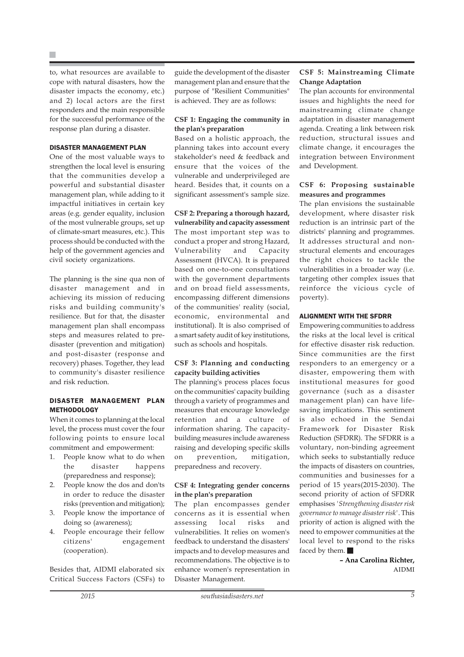to, what resources are available to cope with natural disasters, how the disaster impacts the economy, etc.) and 2) local actors are the first responders and the main responsible for the successful performance of the response plan during a disaster.

#### DISASTER MANAGEMENT PLAN

One of the most valuable ways to strengthen the local level is ensuring that the communities develop a powerful and substantial disaster management plan, while adding to it impactful initiatives in certain key areas (e.g. gender equality, inclusion of the most vulnerable groups, set up of climate-smart measures, etc.). This process should be conducted with the help of the government agencies and civil society organizations.

The planning is the sine qua non of disaster management and in achieving its mission of reducing risks and building community's resilience. But for that, the disaster management plan shall encompass steps and measures related to predisaster (prevention and mitigation) and post-disaster (response and recovery) phases. Together, they lead to community's disaster resilience and risk reduction.

#### DISASTER MANAGEMENT PLAN **METHODOLOGY**

When it comes to planning at the local level, the process must cover the four following points to ensure local commitment and empowerment:

- 1. People know what to do when the disaster happens (preparedness and response);
- 2. People know the dos and don'ts in order to reduce the disaster risks (prevention and mitigation);
- 3. People know the importance of doing so (awareness);
- People encourage their fellow citizens' engagement (cooperation).

Besides that, AIDMI elaborated six Critical Success Factors (CSFs) to

#### **CSF 1: Engaging the community in the plan's preparation**

Based on a holistic approach, the planning takes into account every stakeholder's need & feedback and ensure that the voices of the vulnerable and underprivileged are heard. Besides that, it counts on a significant assessment's sample size.

#### **CSF 2: Preparing a thorough hazard,**

**vulnerability and capacity assessment** The most important step was to conduct a proper and strong Hazard, Vulnerability and Capacity Assessment (HVCA). It is prepared based on one-to-one consultations with the government departments and on broad field assessments, encompassing different dimensions of the communities' reality (social, economic, environmental and institutional). It is also comprised of a smart safety audit of key institutions, such as schools and hospitals.

#### **CSF 3: Planning and conducting capacity building activities**

The planning's process places focus on the communities' capacity building through a variety of programmes and measures that encourage knowledge retention and a culture of information sharing. The capacitybuilding measures include awareness raising and developing specific skills on prevention, mitigation, preparedness and recovery.

#### **CSF 4: Integrating gender concerns in the plan's preparation**

The plan encompasses gender concerns as it is essential when assessing local risks and vulnerabilities. It relies on women's feedback to understand the disasters' impacts and to develop measures and recommendations. The objective is to enhance women's representation in Disaster Management.

#### **CSF 5: Mainstreaming Climate Change Adaptation**

The plan accounts for environmental issues and highlights the need for mainstreaming climate change adaptation in disaster management agenda. Creating a link between risk reduction, structural issues and climate change, it encourages the integration between Environment and Development.

#### **CSF 6: Proposing sustainable measures and programmes**

The plan envisions the sustainable development, where disaster risk reduction is an intrinsic part of the districts' planning and programmes. It addresses structural and nonstructural elements and encourages the right choices to tackle the vulnerabilities in a broader way (i.e. targeting other complex issues that reinforce the vicious cycle of poverty).

#### ALIGNMENT WITH THE SFDRR

Empowering communities to address the risks at the local level is critical for effective disaster risk reduction. Since communities are the first responders to an emergency or a disaster, empowering them with institutional measures for good governance (such as a disaster management plan) can have lifesaving implications. This sentiment is also echoed in the Sendai Framework for Disaster Risk Reduction (SFDRR). The SFDRR is a voluntary, non-binding agreement which seeks to substantially reduce the impacts of disasters on countries, communities and businesses for a period of 15 years(2015-2030). The second priority of action of SFDRR emphasises *'Strengthening disaster risk governance to manage disaster risk'*. This priority of action is aligned with the need to empower communities at the local level to respond to the risks faced by them.

> **– Ana Carolina Richter,** AIDMI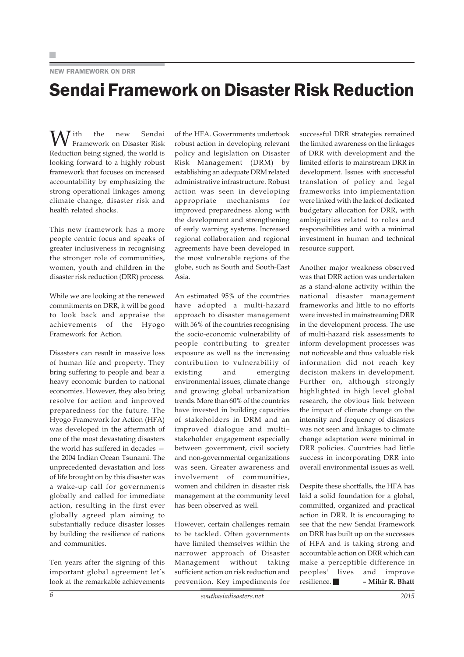#### NEW FRAMEWORK ON DRR

## Sendai Framework on Disaster Risk Reduction

With the new Sendai Framework on Disaster Risk Reduction being signed, the world is looking forward to a highly robust framework that focuses on increased accountability by emphasizing the strong operational linkages among climate change, disaster risk and health related shocks.

This new framework has a more people centric focus and speaks of greater inclusiveness in recognising the stronger role of communities, women, youth and children in the disaster risk reduction (DRR) process.

While we are looking at the renewed commitments on DRR, it will be good to look back and appraise the achievements of the Hyogo Framework for Action.

Disasters can result in massive loss of human life and property. They bring suffering to people and bear a heavy economic burden to national economies. However, they also bring resolve for action and improved preparedness for the future. The Hyogo Framework for Action (HFA) was developed in the aftermath of one of the most devastating disasters the world has suffered in decades the 2004 Indian Ocean Tsunami. The unprecedented devastation and loss of life brought on by this disaster was a wake-up call for governments globally and called for immediate action, resulting in the first ever globally agreed plan aiming to substantially reduce disaster losses by building the resilience of nations and communities.

Ten years after the signing of this important global agreement let's look at the remarkable achievements

of the HFA. Governments undertook robust action in developing relevant policy and legislation on Disaster Risk Management (DRM) by establishing an adequate DRM related administrative infrastructure. Robust action was seen in developing appropriate mechanisms for improved preparedness along with the development and strengthening of early warning systems. Increased regional collaboration and regional agreements have been developed in the most vulnerable regions of the globe, such as South and South-East Asia.

An estimated 95% of the countries have adopted a multi-hazard approach to disaster management with 56% of the countries recognising the socio-economic vulnerability of people contributing to greater exposure as well as the increasing contribution to vulnerability of existing and emerging environmental issues, climate change and growing global urbanization trends. More than 60% of the countries have invested in building capacities of stakeholders in DRM and an improved dialogue and multi– stakeholder engagement especially between government, civil society and non-governmental organizations was seen. Greater awareness and involvement of communities, women and children in disaster risk management at the community level has been observed as well.

However, certain challenges remain to be tackled. Often governments have limited themselves within the narrower approach of Disaster Management without taking sufficient action on risk reduction and prevention. Key impediments for

successful DRR strategies remained the limited awareness on the linkages of DRR with development and the limited efforts to mainstream DRR in development. Issues with successful translation of policy and legal frameworks into implementation were linked with the lack of dedicated budgetary allocation for DRR, with ambiguities related to roles and responsibilities and with a minimal investment in human and technical resource support.

Another major weakness observed was that DRR action was undertaken as a stand-alone activity within the national disaster management frameworks and little to no efforts were invested in mainstreaming DRR in the development process. The use of multi-hazard risk assessments to inform development processes was not noticeable and thus valuable risk information did not reach key decision makers in development. Further on, although strongly highlighted in high level global research, the obvious link between the impact of climate change on the intensity and frequency of disasters was not seen and linkages to climate change adaptation were minimal in DRR policies. Countries had little success in incorporating DRR into overall environmental issues as well.

Despite these shortfalls, the HFA has laid a solid foundation for a global, committed, organized and practical action in DRR. It is encouraging to see that the new Sendai Framework on DRR has built up on the successes of HFA and is taking strong and accountable action on DRR which can make a perceptible difference in peoples' lives and improve resilience. **– Mihir R. Bhatt**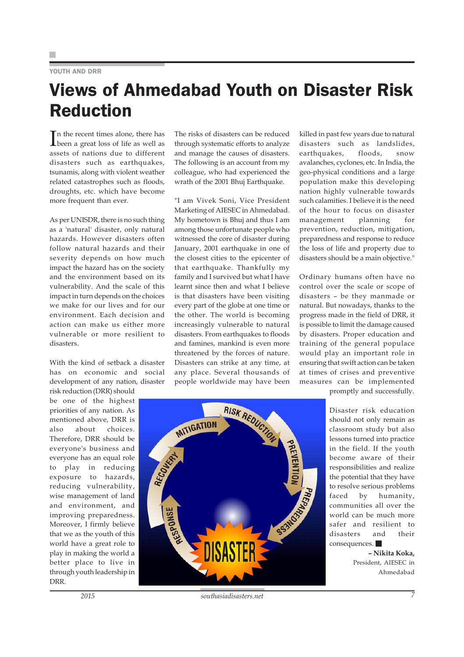#### YOUTH AND DRR

# Views of Ahmedabad Youth on Disaster Risk Reduction

In the recent times alone, there has<br>been a great loss of life as well as been a great loss of life as well as assets of nations due to different disasters such as earthquakes, tsunamis, along with violent weather related catastrophes such as floods, droughts, etc. which have become more frequent than ever.

As per UNISDR, there is no such thing as a 'natural' disaster, only natural hazards. However disasters often follow natural hazards and their severity depends on how much impact the hazard has on the society and the environment based on its vulnerability. And the scale of this impact in turn depends on the choices we make for our lives and for our environment. Each decision and action can make us either more vulnerable or more resilient to disastors

With the kind of setback a disaster has on economic and social development of any nation, disaster

risk reduction (DRR) should be one of the highest priorities of any nation. As mentioned above, DRR is also about choices. Therefore, DRR should be everyone's business and everyone has an equal role to play in reducing exposure to hazards, reducing vulnerability, wise management of land and environment, and improving preparedness. Moreover, I firmly believe that we as the youth of this world have a great role to play in making the world a better place to live in through youth leadership in DRR.

The risks of disasters can be reduced through systematic efforts to analyze and manage the causes of disasters. The following is an account from my colleague, who had experienced the wrath of the 2001 Bhuj Earthquake.

"I am Vivek Soni, Vice President Marketing of AIESEC in Ahmedabad. My hometown is Bhuj and thus I am among those unfortunate people who witnessed the core of disaster during January, 2001 earthquake in one of the closest cities to the epicenter of that earthquake. Thankfully my family and I survived but what I have learnt since then and what I believe is that disasters have been visiting every part of the globe at one time or the other. The world is becoming increasingly vulnerable to natural disasters. From earthquakes to floods and famines, mankind is even more threatened by the forces of nature. Disasters can strike at any time, at any place. Several thousands of people worldwide may have been

killed in past few years due to natural disasters such as landslides. earthquakes, floods, snow avalanches, cyclones, etc. In India, the geo-physical conditions and a large population make this developing nation highly vulnerable towards such calamities. I believe it is the need of the hour to focus on disaster management planning for prevention, reduction, mitigation, preparedness and response to reduce the loss of life and property due to disasters should be a main objective."

Ordinary humans often have no control over the scale or scope of disasters – be they manmade or natural. But nowadays, thanks to the progress made in the field of DRR, it is possible to limit the damage caused by disasters. Proper education and training of the general populace would play an important role in ensuring that swift action can be taken at times of crises and preventive measures can be implemented

promptly and successfully.

Disaster risk education should not only remain as classroom study but also lessons turned into practice in the field. If the youth become aware of their responsibilities and realize the potential that they have to resolve serious problems faced by humanity, communities all over the world can be much more safer and resilient to disasters and their consequences.

> **– Nikita Koka,** President, AIESEC in Ahmedabad



*November 2015 southasiadisasters.net 7*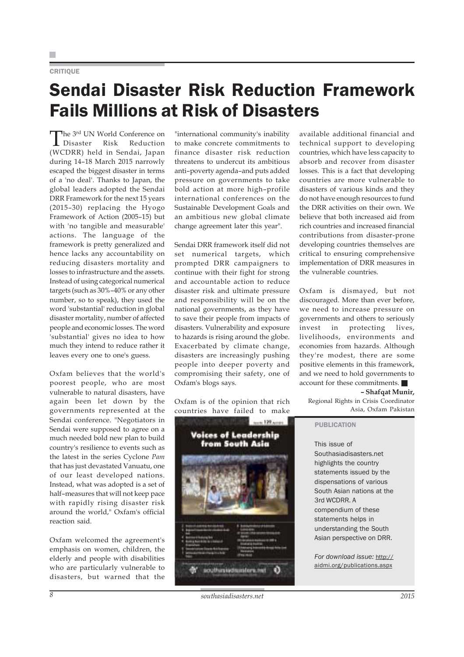#### **CRITIOUE**

# Sendai Disaster Risk Reduction Framework Fails Millions at Risk of Disasters

The <sup>3rd</sup> UN World Conference on<br>Disaster Risk Reduction  $\blacksquare$  Disaster (WCDRR) held in Sendai, Japan during 14–18 March 2015 narrowly escaped the biggest disaster in terms of a 'no deal'. Thanks to Japan, the global leaders adopted the Sendai DRR Framework for the next 15 years (2015–30) replacing the Hyogo Framework of Action (2005–15) but with 'no tangible and measurable' actions. The language of the framework is pretty generalized and hence lacks any accountability on reducing disasters mortality and losses to infrastructure and the assets. Instead of using categorical numerical targets (such as 30%–40% or any other number, so to speak), they used the word 'substantial' reduction in global disaster mortality, number of affected people and economic losses. The word 'substantial' gives no idea to how much they intend to reduce rather it leaves every one to one's guess.

Oxfam believes that the world's poorest people, who are most vulnerable to natural disasters, have again been let down by the governments represented at the Sendai conference. "Negotiators in Sendai were supposed to agree on a much needed bold new plan to build country's resilience to events such as the latest in the series Cyclone *Pam* that has just devastated Vanuatu, one of our least developed nations. Instead, what was adopted is a set of half–measures that will not keep pace with rapidly rising disaster risk around the world," Oxfam's official reaction said.

Oxfam welcomed the agreement's emphasis on women, children, the elderly and people with disabilities who are particularly vulnerable to disasters, but warned that the

"international community's inability to make concrete commitments to finance disaster risk reduction threatens to undercut its ambitious anti–poverty agenda–and puts added pressure on governments to take bold action at more high–profile international conferences on the Sustainable Development Goals and an ambitious new global climate change agreement later this year".

Sendai DRR framework itself did not set numerical targets, which prompted DRR campaigners to continue with their fight for strong and accountable action to reduce disaster risk and ultimate pressure and responsibility will be on the national governments, as they have to save their people from impacts of disasters. Vulnerability and exposure to hazards is rising around the globe. Exacerbated by climate change, disasters are increasingly pushing people into deeper poverty and compromising their safety, one of Oxfam's blogs says.

Oxfam is of the opinion that rich countries have failed to make



available additional financial and technical support to developing countries, which have less capacity to absorb and recover from disaster losses. This is a fact that developing countries are more vulnerable to disasters of various kinds and they do not have enough resources to fund the DRR activities on their own. We believe that both increased aid from rich countries and increased financial contributions from disaster-prone developing countries themselves are critical to ensuring comprehensive implementation of DRR measures in the vulnerable countries.

Oxfam is dismayed, but not discouraged. More than ever before, we need to increase pressure on governments and others to seriously invest in protecting lives, livelihoods, environments and economies from hazards. Although they're modest, there are some positive elements in this framework, and we need to hold governments to account for these commitments.

**– Shafqat Munir,**

Regional Rights in Crisis Coordinator Asia, Oxfam Pakistan

#### PUBLICATION

This issue of Southasiadisasters.net highlights the country statements issued by the dispensations of various South Asian nations at the 3rd WCDRR. A compendium of these statements helps in understanding the South Asian perspective on DRR.

*For download issue:* http:// aidmi.org/publications.aspx

**8 b** *southasiadisasters.net notation notation* **<b>***2015*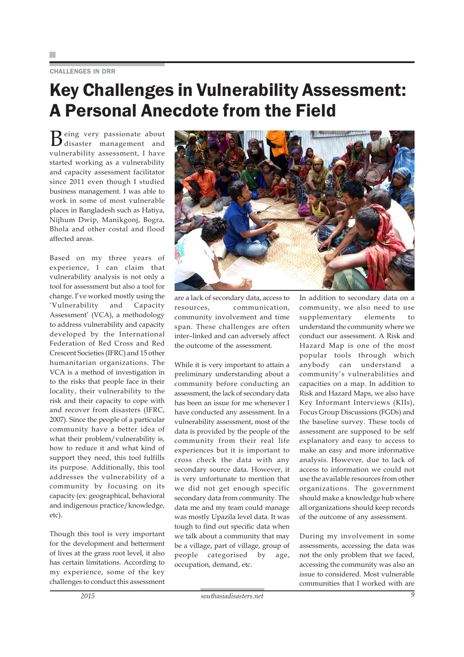#### CHALLENGES IN DRR

### Key Challenges in Vulnerability Assessment: A Personal Anecdote from the Field

Being very passionate about disaster management and vulnerability assessment, I have started working as a vulnerability and capacity assessment facilitator since 2011 even though I studied business management. I was able to work in some of most vulnerable places in Bangladesh such as Hatiya, Nijhum Dwip, Manikgonj, Bogra, Bhola and other costal and flood affected areas.

Based on my three years of experience, I can claim that vulnerability analysis is not only a tool for assessment but also a tool for change. I've worked mostly using the 'Vulnerability and Capacity Assessment' (VCA), a methodology to address vulnerability and capacity developed by the International Federation of Red Cross and Red Crescent Societies (IFRC) and 15 other humanitarian organizations. The VCA is a method of investigation in to the risks that people face in their locality, their vulnerability to the risk and their capacity to cope with and recover from disasters (IFRC, 2007). Since the people of a particular community have a better idea of what their problem/vulnerability is, how to reduce it and what kind of support they need, this tool fulfills its purpose. Additionally, this tool addresses the vulnerability of a community by focusing on its capacity (ex: geographical, behavioral and indigenous practice/knowledge, etc).

Though this tool is very important for the development and betterment of lives at the grass root level, it also has certain limitations. According to my experience, some of the key challenges to conduct this assessment



are a lack of secondary data, access to resources, communication, community involvement and time span. These challenges are often inter–linked and can adversely affect the outcome of the assessment.

While it is very important to attain a preliminary understanding about a community before conducting an assessment, the lack of secondary data has been an issue for me whenever I have conducted any assessment. In a vulnerability assessment, most of the data is provided by the people of the community from their real life experiences but it is important to cross check the data with any secondary source data. However, it is very unfortunate to mention that we did not get enough specific secondary data from community. The data me and my team could manage was mostly Upazila level data. It was tough to find out specific data when we talk about a community that may be a village, part of village, group of people categorised by age, occupation, demand, etc.

In addition to secondary data on a community, we also need to use supplementary elements to understand the community where we conduct our assessment. A Risk and Hazard Map is one of the most popular tools through which anybody can understand a community's vulnerabilities and capacities on a map. In addition to Risk and Hazard Maps, we also have Key Informant Interviews (KIIs), Focus Group Discussions (FGDs) and the baseline survey. These tools of assessment are supposed to be self explanatory and easy to access to make an easy and more informative analysis. However, due to lack of access to information we could not use the available resources from other organizations. The government should make a knowledge hub where all organizations should keep records of the outcome of any assessment.

During my involvement in some assessments, accessing the data was not the only problem that we faced, accessing the community was also an issue to considered. Most vulnerable communities that I worked with are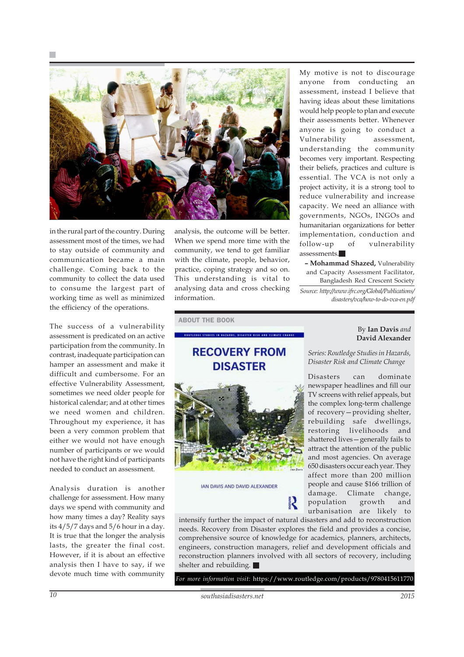

in the rural part of the country. During assessment most of the times, we had to stay outside of community and communication became a main challenge. Coming back to the community to collect the data used to consume the largest part of working time as well as minimized the efficiency of the operations.

The success of a vulnerability assessment is predicated on an active participation from the community. In contrast, inadequate participation can hamper an assessment and make it difficult and cumbersome. For an effective Vulnerability Assessment, sometimes we need older people for historical calendar; and at other times we need women and children. Throughout my experience, it has been a very common problem that either we would not have enough number of participants or we would not have the right kind of participants needed to conduct an assessment.

Analysis duration is another challenge for assessment. How many days we spend with community and how many times a day? Reality says its 4/5/7 days and 5/6 hour in a day. It is true that the longer the analysis lasts, the greater the final cost. However, if it is about an effective analysis then I have to say, if we devote much time with community

analysis, the outcome will be better. When we spend more time with the community, we tend to get familiar with the climate, people, behavior, practice, coping strategy and so on. This understanding is vital to analysing data and cross checking information.

My motive is not to discourage anyone from conducting an assessment, instead I believe that having ideas about these limitations would help people to plan and execute their assessments better. Whenever anyone is going to conduct a Vulnerability assessment, understanding the community becomes very important. Respecting their beliefs, practices and culture is essential. The VCA is not only a project activity, it is a strong tool to reduce vulnerability and increase capacity. We need an alliance with governments, NGOs, INGOs and humanitarian organizations for better implementation, conduction and follow-up of vulnerability assessments.

**– Mohammad Shazed,** Vulnerability and Capacity Assessment Facilitator, Bangladesh Red Crescent Society

*Source: http://www.ifrc.org/Global/Publications/ disasters/vca/how-to-do-vca-en.pdf*

ABOUT THE BOOK

### **RECOVERY FROM DISASTER**

KOUTITOOT STUDITS IN HAZAKOS, DISASTER KISK AND CLIMATE CHANGE



IAN DAVIS AND DAVID ALEXANDER

*Series: Routledge Studies in Hazards, Disaster Risk and Climate Change*

By **Ian Davis** *and* **David Alexander**

Disasters can dominate newspaper headlines and fill our TV screens with relief appeals, but the complex long-term challenge of recovery—providing shelter, rebuilding safe dwellings, restoring livelihoods and shattered lives—generally fails to attract the attention of the public and most agencies. On average 650 disasters occur each year. They affect more than 200 million people and cause \$166 trillion of damage. Climate change, population growth and urbanisation are likely to

intensify further the impact of natural disasters and add to reconstruction needs. Recovery from Disaster explores the field and provides a concise, comprehensive source of knowledge for academics, planners, architects, engineers, construction managers, relief and development officials and reconstruction planners involved with all sectors of recovery, including shelter and rebuilding.

*For more information visit:* https://www.routledge.com/products/9780415611770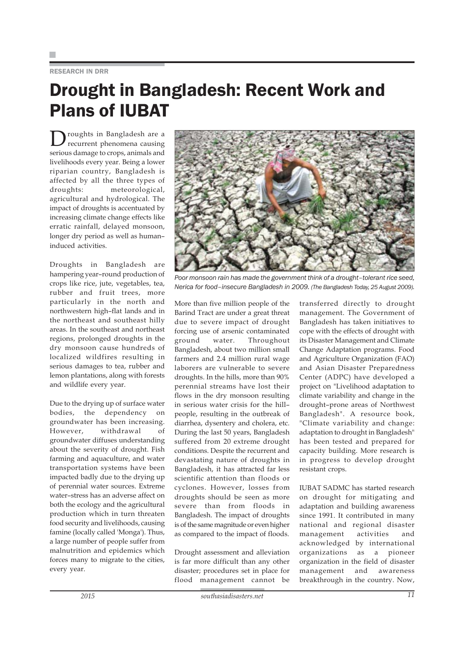#### RESEARCH IN DRR

### Drought in Bangladesh: Recent Work and Plans of IUBAT

 $\sum$  roughts in Bangladesh are a<br>recurrent phenomena causing serious damage to crops, animals and livelihoods every year. Being a lower riparian country, Bangladesh is affected by all the three types of droughts: meteorological, agricultural and hydrological. The impact of droughts is accentuated by increasing climate change effects like erratic rainfall, delayed monsoon, longer dry period as well as human– induced activities.

Droughts in Bangladesh are hampering year–round production of crops like rice, jute, vegetables, tea, rubber and fruit trees, more particularly in the north and northwestern high–flat lands and in the northeast and southeast hilly areas. In the southeast and northeast regions, prolonged droughts in the dry monsoon cause hundreds of localized wildfires resulting in serious damages to tea, rubber and lemon plantations, along with forests and wildlife every year.

Due to the drying up of surface water bodies, the dependency on groundwater has been increasing. However, withdrawal of groundwater diffuses understanding about the severity of drought. Fish farming and aquaculture, and water transportation systems have been impacted badly due to the drying up of perennial water sources. Extreme water–stress has an adverse affect on both the ecology and the agricultural production which in turn threaten food security and livelihoods, causing famine (locally called 'Monga'). Thus, a large number of people suffer from malnutrition and epidemics which forces many to migrate to the cities, every year.



*Poor monsoon rain has made the government think of a drought–tolerant rice seed, Nerica for food–insecure Bangladesh in 2009. (The Bangladesh Today, 25 August 2009).*

More than five million people of the Barind Tract are under a great threat due to severe impact of drought forcing use of arsenic contaminated ground water. Throughout Bangladesh, about two million small farmers and 2.4 million rural wage laborers are vulnerable to severe droughts. In the hills, more than 90% perennial streams have lost their flows in the dry monsoon resulting in serious water crisis for the hill– people, resulting in the outbreak of diarrhea, dysentery and cholera, etc. During the last 50 years, Bangladesh suffered from 20 extreme drought conditions. Despite the recurrent and devastating nature of droughts in Bangladesh, it has attracted far less scientific attention than floods or cyclones. However, losses from droughts should be seen as more severe than from floods in Bangladesh. The impact of droughts is of the same magnitude or even higher as compared to the impact of floods.

Drought assessment and alleviation is far more difficult than any other disaster; procedures set in place for flood management cannot be

transferred directly to drought management. The Government of Bangladesh has taken initiatives to cope with the effects of drought with its Disaster Management and Climate Change Adaptation programs. Food and Agriculture Organization (FAO) and Asian Disaster Preparedness Center (ADPC) have developed a project on "Livelihood adaptation to climate variability and change in the drought–prone areas of Northwest Bangladesh". A resource book, "Climate variability and change: adaptation to drought in Bangladesh" has been tested and prepared for capacity building. More research is in progress to develop drought resistant crops.

IUBAT SADMC has started research on drought for mitigating and adaptation and building awareness since 1991. It contributed in many national and regional disaster management activities and acknowledged by international organizations as a pioneer organization in the field of disaster management and awareness breakthrough in the country. Now,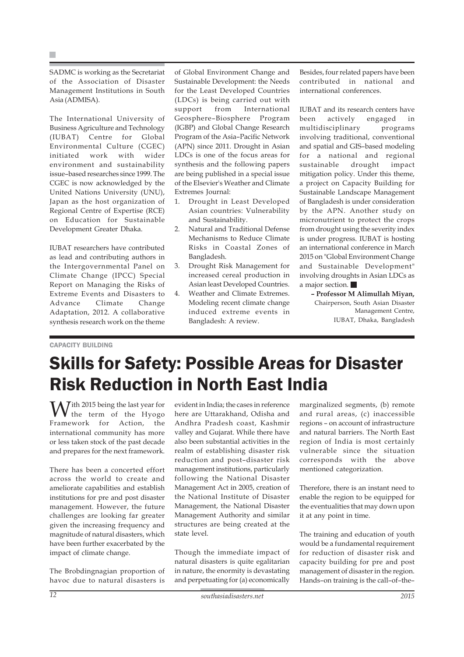SADMC is working as the Secretariat of the Association of Disaster Management Institutions in South Asia (ADMISA).

The International University of Business Agriculture and Technology (IUBAT) Centre for Global Environmental Culture (CGEC) initiated work with wider environment and sustainability issue–based researches since 1999. The CGEC is now acknowledged by the United Nations University (UNU), Japan as the host organization of Regional Centre of Expertise (RCE) on Education for Sustainable Development Greater Dhaka.

IUBAT researchers have contributed as lead and contributing authors in the Intergovernmental Panel on Climate Change (IPCC) Special Report on Managing the Risks of Extreme Events and Disasters to Advance Climate Change Adaptation, 2012. A collaborative synthesis research work on the theme

of Global Environment Change and Sustainable Development: the Needs for the Least Developed Countries (LDCs) is being carried out with support from International Geosphere–Biosphere Program (IGBP) and Global Change Research Program of the Asia–Pacific Network (APN) since 2011. Drought in Asian LDCs is one of the focus areas for synthesis and the following papers are being published in a special issue of the Elsevier's Weather and Climate Extremes Journal:

- 1. Drought in Least Developed Asian countries: Vulnerability and Sustainability.
- 2. Natural and Traditional Defense Mechanisms to Reduce Climate Risks in Coastal Zones of Bangladesh.
- 3. Drought Risk Management for increased cereal production in Asian least Developed Countries.
- 4. Weather and Climate Extremes. Modeling recent climate change induced extreme events in Bangladesh: A review.

Besides, four related papers have been contributed in national and international conferences.

IUBAT and its research centers have been actively engaged in multidisciplinary programs involving traditional, conventional and spatial and GIS–based modeling for a national and regional sustainable drought impact mitigation policy. Under this theme, a project on Capacity Building for Sustainable Landscape Management of Bangladesh is under consideration by the APN. Another study on micronutrient to protect the crops from drought using the severity index is under progress. IUBAT is hosting an international conference in March 2015 on "Global Environment Change and Sustainable Development" involving droughts in Asian LDCs as a major section.

**– Professor M Alimullah Miyan,** Chairperson, South Asian Disaster Management Centre, IUBAT, Dhaka, Bangladesh

CAPACITY BUILDING

### Skills for Safety: Possible Areas for Disaster Risk Reduction in North East India

 $\mathbf{W}$ ith 2015 being the last year for<br>Framework for Action, the  $\boldsymbol{V}$  the term of the Hyogo Framework for Action, international community has more or less taken stock of the past decade and prepares for the next framework.

There has been a concerted effort across the world to create and ameliorate capabilities and establish institutions for pre and post disaster management. However, the future challenges are looking far greater given the increasing frequency and magnitude of natural disasters, which have been further exacerbated by the impact of climate change.

The Brobdingnagian proportion of havoc due to natural disasters is

evident in India; the cases in reference here are Uttarakhand, Odisha and Andhra Pradesh coast, Kashmir valley and Gujarat. While there have also been substantial activities in the realm of establishing disaster risk reduction and post–disaster risk management institutions, particularly following the National Disaster Management Act in 2005, creation of the National Institute of Disaster Management, the National Disaster Management Authority and similar structures are being created at the state level.

Though the immediate impact of natural disasters is quite egalitarian in nature, the enormity is devastating and perpetuating for (a) economically

marginalized segments, (b) remote and rural areas, (c) inaccessible regions – on account of infrastructure and natural barriers. The North East region of India is most certainly vulnerable since the situation corresponds with the above mentioned categorization.

Therefore, there is an instant need to enable the region to be equipped for the eventualities that may down upon it at any point in time.

The training and education of youth would be a fundamental requirement for reduction of disaster risk and capacity building for pre and post management of disaster in the region. Hands–on training is the call–of–the–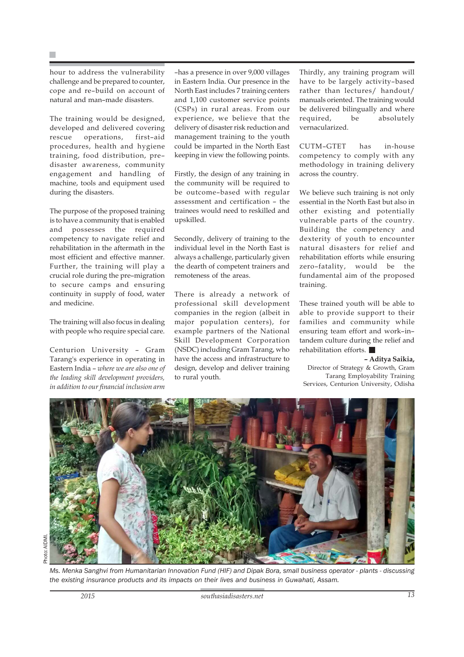hour to address the vulnerability challenge and be prepared to counter, cope and re–build on account of natural and man–made disasters.

The training would be designed, developed and delivered covering rescue operations, first–aid procedures, health and hygiene training, food distribution, pre– disaster awareness, community engagement and handling of machine, tools and equipment used during the disasters.

The purpose of the proposed training is to have a community that is enabled and possesses the required competency to navigate relief and rehabilitation in the aftermath in the most efficient and effective manner. Further, the training will play a crucial role during the pre–migration to secure camps and ensuring continuity in supply of food, water and medicine.

The training will also focus in dealing with people who require special care.

Centurion University – Gram Tarang's experience in operating in Eastern India – *where we are also one of the leading skill development providers, in addition to our financial inclusion arm*

–has a presence in over 9,000 villages in Eastern India. Our presence in the North East includes 7 training centers and 1,100 customer service points (CSPs) in rural areas. From our experience, we believe that the delivery of disaster risk reduction and management training to the youth could be imparted in the North East keeping in view the following points.

Firstly, the design of any training in the community will be required to be outcome–based with regular assessment and certification – the trainees would need to reskilled and upskilled.

Secondly, delivery of training to the individual level in the North East is always a challenge, particularly given the dearth of competent trainers and remoteness of the areas.

There is already a network of professional skill development companies in the region (albeit in major population centers), for example partners of the National Skill Development Corporation (NSDC) including Gram Tarang, who have the access and infrastructure to design, develop and deliver training to rural youth.

Thirdly, any training program will have to be largely activity–based rather than lectures/ handout/ manuals oriented. The training would be delivered bilingually and where required, be absolutely vernacularized.

CUTM–GTET has in-house competency to comply with any methodology in training delivery across the country.

We believe such training is not only essential in the North East but also in other existing and potentially vulnerable parts of the country. Building the competency and dexterity of youth to encounter natural disasters for relief and rehabilitation efforts while ensuring zero–fatality, would be the fundamental aim of the proposed training.

These trained youth will be able to able to provide support to their families and community while ensuring team effort and work–in– tandem culture during the relief and rehabilitation efforts.

#### **– Aditya Saikia,**

Director of Strategy & Growth, Gram Tarang Employability Training Services, Centurion University, Odisha

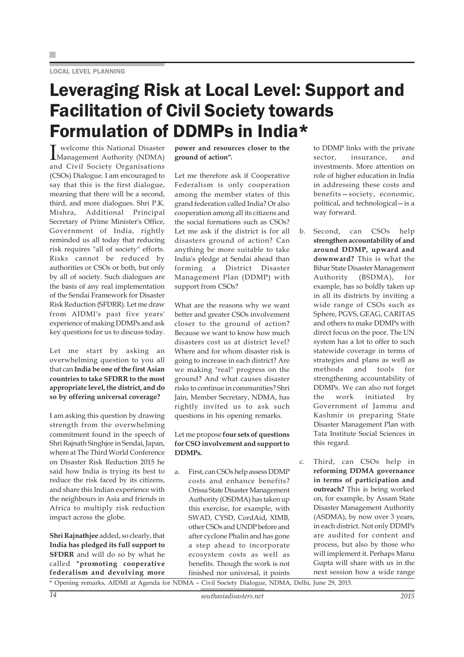### Leveraging Risk at Local Level: Support and Facilitation of Civil Society towards Formulation of DDMPs in India\*

I Management Authority (NDMA) welcome this National Disaster and Civil Society Organisations (CSOs) Dialogue. I am encouraged to say that this is the first dialogue, meaning that there will be a second, third, and more dialogues. Shri P.K. Mishra, Additional Principal Secretary of Prime Minister's Office, Government of India, rightly reminded us all today that reducing risk requires "all of society" efforts. Risks cannot be reduced by authorities or CSOs or both, but only by all of society. Such dialogues are the basis of any real implementation of the Sendai Framework for Disaster Risk Reduction (SFDRR). Let me draw from AIDMI's past five years' experience of making DDMPs and ask key questions for us to discuss today.

Let me start by asking an overwhelming question to you all that can **India be one of the first Asian countries to take SFDRR to the most appropriate level, the district, and do so by offering universal coverage?**

I am asking this question by drawing strength from the overwhelming commitment found in the speech of Shri Rajnath Singhjee in Sendai, Japan, where at The Third World Conference on Disaster Risk Reduction 2015 he said how India is trying its best to reduce the risk faced by its citizens, and share this Indian experience with the neighbours in Asia and friends in Africa to multiply risk reduction impact across the globe.

**Shri Rajnathjee** added, so clearly, that **India has pledged its full support to SFDRR** and will do so by what he called **"promoting cooperative federalism and devolving more**

**power and resources closer to the ground of action".**

Let me therefore ask if Cooperative Federalism is only cooperation among the member states of this grand federation called India? Or also cooperation among all its citizens and the social formations such as CSOs? Let me ask if the district is for all disasters ground of action? Can anything be more suitable to take India's pledge at Sendai ahead than forming a District Disaster Management Plan (DDMP) with support from CSOs?

What are the reasons why we want better and greater CSOs involvement closer to the ground of action? Because we want to know how much disasters cost us at district level? Where and for whom disaster risk is going to increase in each district? Are we making "real" progress on the ground? And what causes disaster risks to continue in communities? Shri Jain, Member Secretary, NDMA, has rightly invited us to ask such questions in his opening remarks.

#### Let me propose **four sets of questions for CSO involvement and support to DDMPs.**

a. First, can CSOs help assess DDMP costs and enhance benefits? Orissa State Disaster Management Authority (OSDMA) has taken up this exercise, for example, with SWAD, CYSD, CordAid, XIMB, other CSOs and UNDP before and after cyclone Phalin and has gone a step ahead to incorporate ecosystem costs as well as benefits. Though the work is not finished nor universal, it points

to DDMP links with the private sector, insurance, and investments. More attention on role of higher education in India in addressing these costs and benefits—society, economic, political, and technological—is a way forward.

- b. Second, can CSOs help **strengthen accountability of and around DDMP, upward and downward?** This is what the Bihar State Disaster Management Authority (BSDMA), for example, has so boldly taken up in all its districts by inviting a wide range of CSOs such as Sphere, PGVS, GEAG, CARITAS and others to make DDMPs with direct focus on the poor. The UN system has a lot to offer to such statewide coverage in terms of strategies and plans as well as methods and tools for strengthening accountability of DDMPs. We can also not forget the work initiated by Government of Jammu and Kashmir in preparing State Disaster Management Plan with Tata Institute Social Sciences in this regard.
- c. Third, can CSOs help in **reforming DDMA governance in terms of participation and outreach?** This is being worked on, for example, by Assam State Disaster Management Authority (ASDMA), by now over 3 years, in each district. Not only DDMPs are audited for content and process, but also by those who will implement it. Perhaps Manu Gupta will share with us in the next session how a wide range

\* Opening remarks, AIDMI at Agenda for NDMA – Civil Society Dialogue, NDMA, Delhi, June 29, 2015.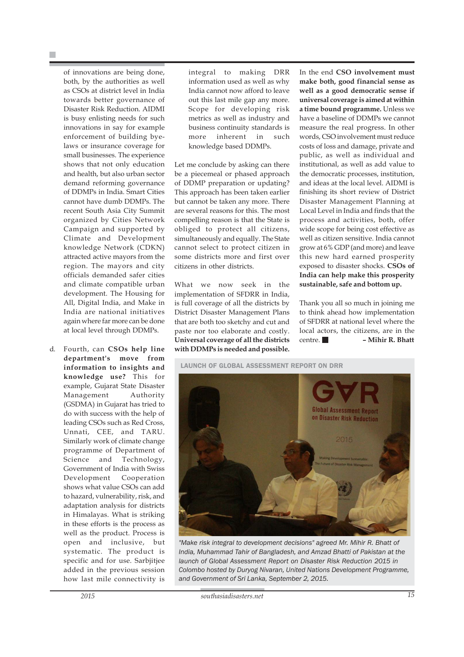of innovations are being done, both, by the authorities as well as CSOs at district level in India towards better governance of Disaster Risk Reduction. AIDMI is busy enlisting needs for such innovations in say for example enforcement of building byelaws or insurance coverage for small businesses. The experience shows that not only education and health, but also urban sector demand reforming governance of DDMPs in India. Smart Cities cannot have dumb DDMPs. The recent South Asia City Summit organized by Cities Network Campaign and supported by Climate and Development knowledge Network (CDKN) attracted active mayors from the region. The mayors and city officials demanded safer cities and climate compatible urban development. The Housing for All, Digital India, and Make in India are national initiatives again where far more can be done at local level through DDMPs.

d. Fourth, can **CSOs help line department's move from information to insights and knowledge use?** This for example, Gujarat State Disaster Management Authority (GSDMA) in Gujarat has tried to do with success with the help of leading CSOs such as Red Cross, Unnati, CEE, and TARU. Similarly work of climate change programme of Department of Science and Technology, Government of India with Swiss Development Cooperation shows what value CSOs can add to hazard, vulnerability, risk, and adaptation analysis for districts in Himalayas. What is striking in these efforts is the process as well as the product. Process is open and inclusive, but systematic. The product is specific and for use. Sarbjitjee added in the previous session how last mile connectivity is

integral to making DRR information used as well as why India cannot now afford to leave out this last mile gap any more. Scope for developing risk metrics as well as industry and business continuity standards is more inherent in such knowledge based DDMPs.

Let me conclude by asking can there be a piecemeal or phased approach of DDMP preparation or updating? This approach has been taken earlier but cannot be taken any more. There are several reasons for this. The most compelling reason is that the State is obliged to protect all citizens, simultaneously and equally. The State cannot select to protect citizen in some districts more and first over citizens in other districts.

What we now seek in the implementation of SFDRR in India, is full coverage of all the districts by District Disaster Management Plans that are both too sketchy and cut and paste nor too elaborate and costly. **Universal coverage of all the districts with DDMPs is needed and possible.**

In the end **CSO involvement must make both, good financial sense as well as a good democratic sense if universal coverage is aimed at within a time bound programme.** Unless we have a baseline of DDMPs we cannot measure the real progress. In other words, CSO involvement must reduce costs of loss and damage, private and public, as well as individual and institutional, as well as add value to the democratic processes, institution, and ideas at the local level. AIDMI is finishing its short review of District Disaster Management Planning at Local Level in India and finds that the process and activities, both, offer wide scope for being cost effective as well as citizen sensitive. India cannot grow at 6% GDP (and more) and leave this new hard earned prosperity exposed to disaster shocks. **CSOs of India can help make this prosperity sustainable, safe and bottom up.**

Thank you all so much in joining me to think ahead how implementation of SFDRR at national level where the local actors, the citizens, are in the centre. **– Mihir R. Bhatt**

LAUNCH OF GLOBAL ASSESSMENT REPORT ON DRR



*"Make risk integral to development decisions" agreed Mr. Mihir R. Bhatt of India, Muhammad Tahir of Bangladesh, and Amzad Bhatti of Pakistan at the launch of Global Assessment Report on Disaster Risk Reduction 2015 in Colombo hosted by Duryog Nivaran, United Nations Development Programme, and Government of Sri Lanka, September 2, 2015.*